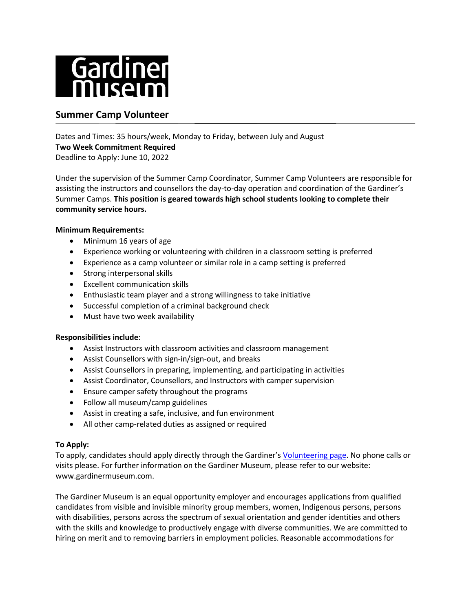

# **Summer Camp Volunteer**

Dates and Times: 35 hours/week, Monday to Friday, between July and August **Two Week Commitment Required** Deadline to Apply: June 10, 2022

Under the supervision of the Summer Camp Coordinator, Summer Camp Volunteers are responsible for assisting the instructors and counsellors the day-to-day operation and coordination of the Gardiner's Summer Camps. **This position is geared towards high school students looking to complete their community service hours.**

## **Minimum Requirements:**

- Minimum 16 years of age
- Experience working or volunteering with children in a classroom setting is preferred
- Experience as a camp volunteer or similar role in a camp setting is preferred
- Strong interpersonal skills
- Excellent communication skills
- Enthusiastic team player and a strong willingness to take initiative
- Successful completion of a criminal background check
- Must have two week availability

#### **Responsibilities include**:

- Assist Instructors with classroom activities and classroom management
- Assist Counsellors with sign-in/sign-out, and breaks
- Assist Counsellors in preparing, implementing, and participating in activities
- Assist Coordinator, Counsellors, and Instructors with camper supervision
- Ensure camper safety throughout the programs
- Follow all museum/camp guidelines
- Assist in creating a safe, inclusive, and fun environment
- All other camp-related duties as assigned or required

#### **To Apply:**

To apply, candidates should apply directly through the Gardiner's [Volunteering](https://www.gardinermuseum.on.ca/the-museum/jobs-volunteering/volunteering/) page. No phone calls or visits please. For further information on the Gardiner Museum, please refer to our website: www.gardinermuseum.com.

The Gardiner Museum is an equal opportunity employer and encourages applications from qualified candidates from visible and invisible minority group members, women, Indigenous persons, persons with disabilities, persons across the spectrum of sexual orientation and gender identities and others with the skills and knowledge to productively engage with diverse communities. We are committed to hiring on merit and to removing barriers in employment policies. Reasonable accommodations for